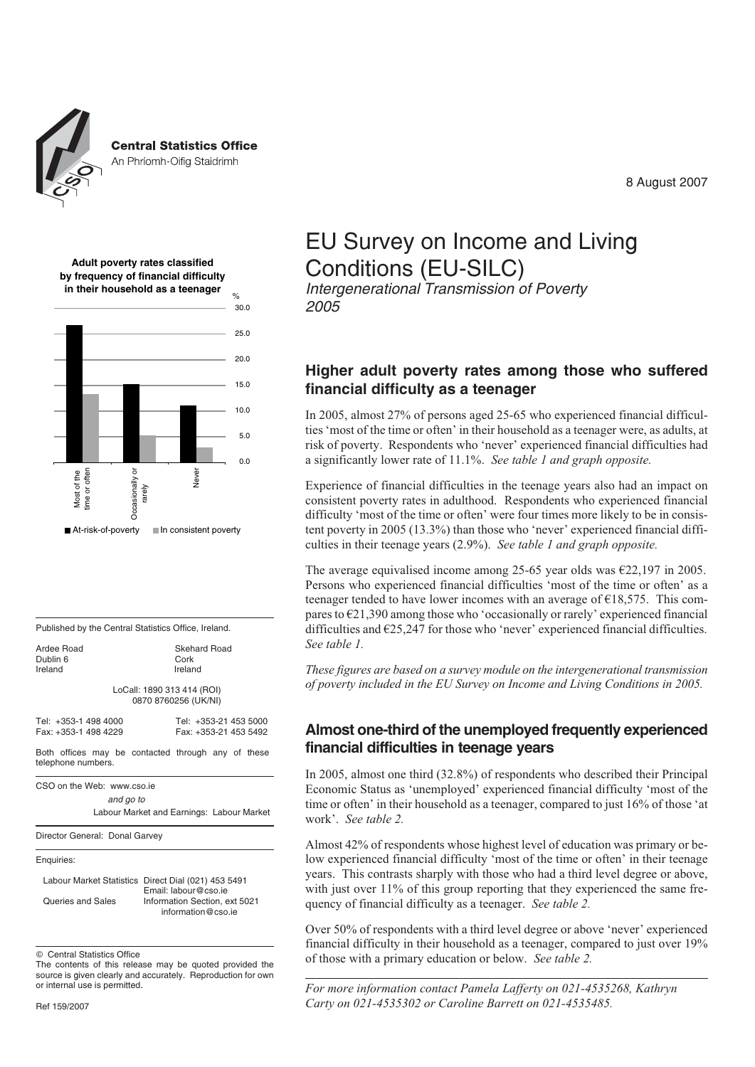

**Central Statistics Office** 

An Phríomh-Oifig Staidrimh

8 August 2007





| Published by the Central Statistics Office, Ireland.                     |                                                |  |  |  |  |  |  |
|--------------------------------------------------------------------------|------------------------------------------------|--|--|--|--|--|--|
| Ardee Road<br>Dublin 6<br>Ireland                                        | Skehard Road<br>Cork<br>Ireland                |  |  |  |  |  |  |
| LoCall: 1890 313 414 (ROI)<br>0870 8760256 (UK/NI)                       |                                                |  |  |  |  |  |  |
| Tel: +353-1 498 4000<br>Fax: +353-1 498 4229                             | Tel: +353-21 453 5000<br>Fax: +353-21 453 5492 |  |  |  |  |  |  |
| Both offices may be contacted through any of these<br>telephone numbers. |                                                |  |  |  |  |  |  |
| CSO on the Web: www.cso.ie<br>and go to                                  | Labour Market and Earnings: Labour Market      |  |  |  |  |  |  |
| Director General: Donal Garvey                                           |                                                |  |  |  |  |  |  |
| Enquiries:                                                               |                                                |  |  |  |  |  |  |
| Labour Market Statistics Direct Dial (021) 453 5491                      |                                                |  |  |  |  |  |  |

Email: labour@cso.ie Queries and Sales Information Section, ext 5021 information@cso.ie

 $©$  Central Statistics Office

The contents of this release may be quoted provided the source is given clearly and accurately. Reproduction for own or internal use is permitted.

## EU Survey on Income and Living Conditions (EU-SILC)

*Intergenerational Transmission of Poverty 2005*

## **Higher adult poverty rates among those who suffered financial difficulty as a teenager**

In 2005, almost 27% of persons aged 25-65 who experienced financial difficulties 'most of the time or often' in their household as a teenager were, as adults, at risk of poverty. Respondents who 'never' experienced financial difficulties had a significantly lower rate of 11.1%. *See table 1 and graph opposite.*

Experience of financial difficulties in the teenage years also had an impact on consistent poverty rates in adulthood. Respondents who experienced financial difficulty 'most of the time or often' were four times more likely to be in consistent poverty in 2005 (13.3%) than those who 'never' experienced financial difficulties in their teenage years (2.9%). *See table 1 and graph opposite.*

The average equivalised income among 25-65 year olds was  $\epsilon$ 22,197 in 2005. Persons who experienced financial difficulties 'most of the time or often' as a teenager tended to have lower incomes with an average of  $\epsilon$ 18,575. This compares to  $\epsilon$ 21,390 among those who 'occasionally or rarely' experienced financial difficulties and €25,247 for those who 'never' experienced financial difficulties. *See table 1.*

*These figures are based on a survey module on the intergenerational transmission of poverty included in the EU Survey on Income and Living Conditions in 2005.*

### **Almost one-third of the unemployed frequently experienced financial difficulties in teenage years**

In 2005, almost one third (32.8%) of respondents who described their Principal Economic Status as 'unemployed' experienced financial difficulty 'most of the time or often' in their household as a teenager, compared to just 16% of those 'at work'. *See table 2.*

Almost 42% of respondents whose highest level of education was primary or below experienced financial difficulty 'most of the time or often' in their teenage years. This contrasts sharply with those who had a third level degree or above, with just over 11% of this group reporting that they experienced the same frequency of financial difficulty as a teenager. *See table 2.*

Over 50% of respondents with a third level degree or above 'never' experienced financial difficulty in their household as a teenager, compared to just over 19% of those with a primary education or below. *See table 2.*

*For more information contact Pamela Lafferty on 021-4535268, Kathryn Carty on 021-4535302 or Caroline Barrett on 021-4535485.*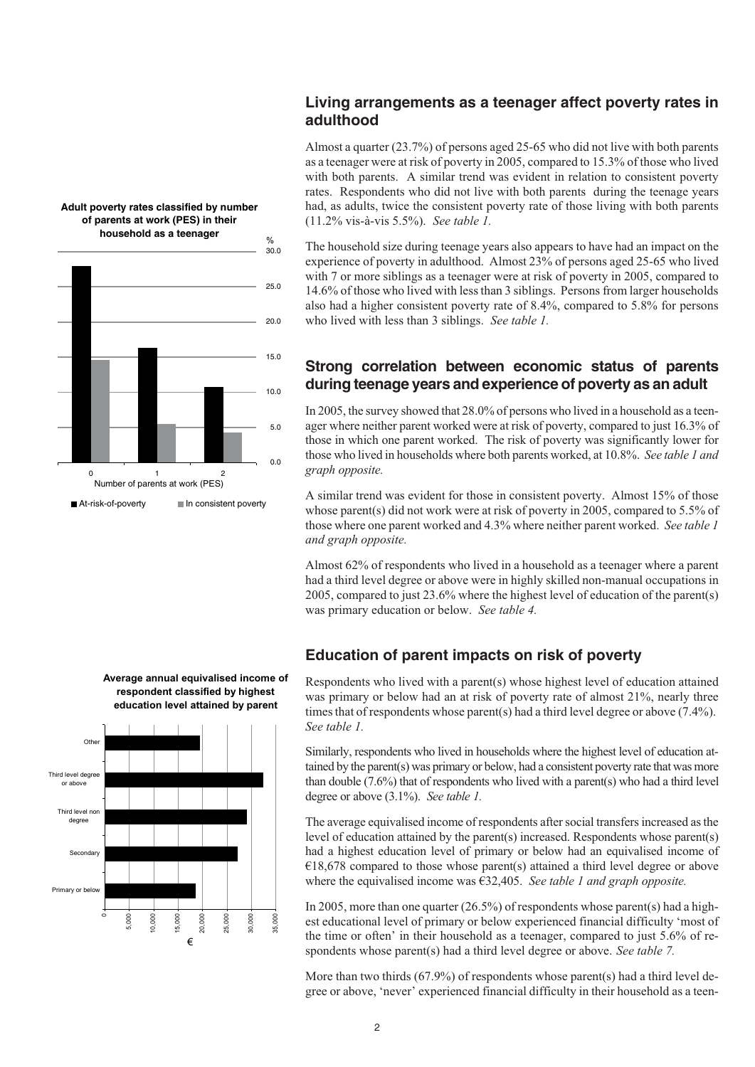

**Adult poverty rates classified by number of parents at work (PES) in their**

### **Living arrangements as a teenager affect poverty rates in adulthood**

Almost a quarter (23.7%) of persons aged 25-65 who did not live with both parents as a teenager were at risk of poverty in 2005, compared to 15.3% of those who lived with both parents. A similar trend was evident in relation to consistent poverty rates. Respondents who did not live with both parents during the teenage years had, as adults, twice the consistent poverty rate of those living with both parents (11.2% vis-à-vis 5.5%). *See table 1.*

The household size during teenage years also appears to have had an impact on the experience of poverty in adulthood. Almost 23% of persons aged 25-65 who lived with 7 or more siblings as a teenager were at risk of poverty in 2005, compared to 14.6% of those who lived with less than 3 siblings. Persons from larger households also had a higher consistent poverty rate of 8.4%, compared to 5.8% for persons who lived with less than 3 siblings. *See table 1.*

## **Strong correlation between economic status of parents during teenage years and experience of poverty as an adult**

In 2005, the survey showed that 28.0% of persons who lived in a household as a teenager where neither parent worked were at risk of poverty, compared to just 16.3% of those in which one parent worked. The risk of poverty was significantly lower for those who lived in households where both parents worked, at 10.8%. *See table 1 and graph opposite.*

A similar trend was evident for those in consistent poverty. Almost 15% of those whose parent(s) did not work were at risk of poverty in 2005, compared to 5.5% of those where one parent worked and 4.3% where neither parent worked. *See table 1 and graph opposite.*

Almost 62% of respondents who lived in a household as a teenager where a parent had a third level degree or above were in highly skilled non-manual occupations in 2005, compared to just 23.6% where the highest level of education of the parent(s) was primary education or below. *See table 4.*

## **Education of parent impacts on risk of poverty**

Respondents who lived with a parent(s) whose highest level of education attained was primary or below had an at risk of poverty rate of almost 21%, nearly three times that of respondents whose parent(s) had a third level degree or above (7.4%). *See table 1.*

Similarly, respondents who lived in households where the highest level of education attained by the parent(s) was primary or below, had a consistent poverty rate that was more than double (7.6%) that of respondents who lived with a parent(s) who had a third level degree or above (3.1%). *See table 1.*

The average equivalised income of respondents after social transfers increased as the level of education attained by the parent(s) increased. Respondents whose parent(s) had a highest education level of primary or below had an equivalised income of  $E18,678$  compared to those whose parent(s) attained a third level degree or above where the equivalised income was €32,405. *See table 1 and graph opposite.*

In 2005, more than one quarter  $(26.5\%)$  of respondents whose parent(s) had a highest educational level of primary or below experienced financial difficulty 'most of the time or often' in their household as a teenager, compared to just 5.6% of respondents whose parent(s) had a third level degree or above. *See table 7.*

More than two thirds (67.9%) of respondents whose parent(s) had a third level degree or above, 'never' experienced financial difficulty in their household as a teen-

**Average annual equivalised income of respondent classified by highest education level attained by parent**

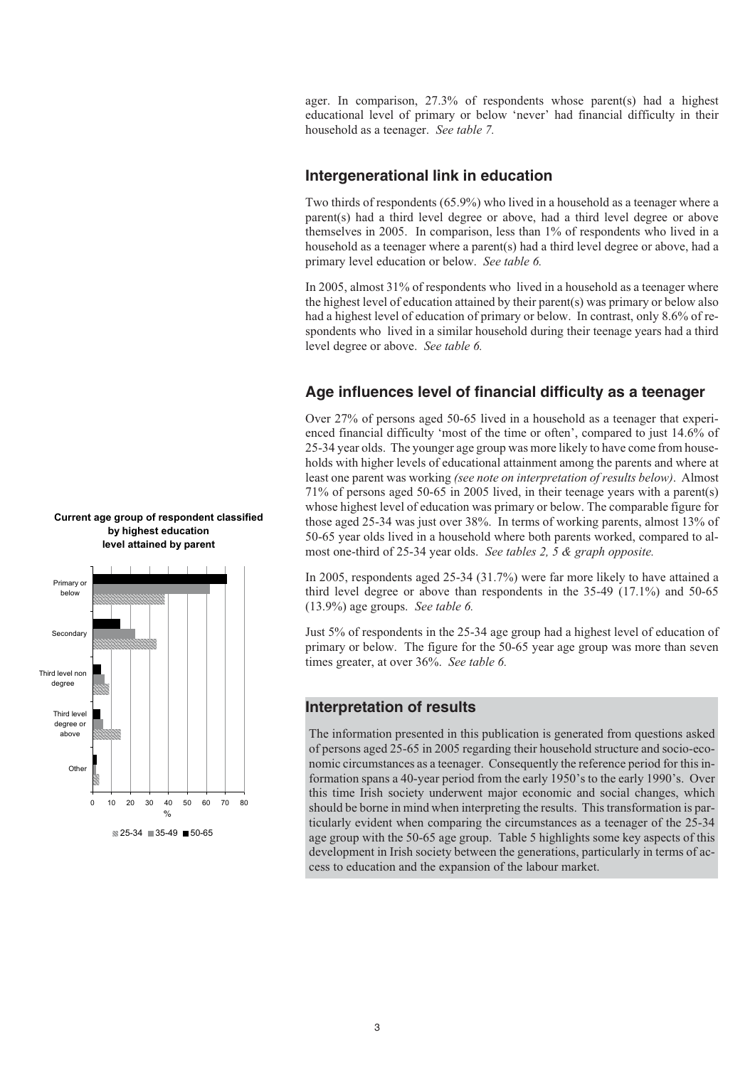ager. In comparison, 27.3% of respondents whose parent(s) had a highest educational level of primary or below 'never' had financial difficulty in their household as a teenager. *See table 7.*

#### **Intergenerational link in education**

Two thirds of respondents (65.9%) who lived in a household as a teenager where a parent(s) had a third level degree or above, had a third level degree or above themselves in 2005. In comparison, less than 1% of respondents who lived in a household as a teenager where a parent(s) had a third level degree or above, had a primary level education or below. *See table 6.*

In 2005, almost 31% of respondents who lived in a household as a teenager where the highest level of education attained by their parent(s) was primary or below also had a highest level of education of primary or below. In contrast, only 8.6% of respondents who lived in a similar household during their teenage years had a third level degree or above. *See table 6.*

## **Age influences level of financial difficulty as a teenager**

Over 27% of persons aged 50-65 lived in a household as a teenager that experienced financial difficulty 'most of the time or often', compared to just 14.6% of 25-34 year olds. The younger age group was more likely to have come from households with higher levels of educational attainment among the parents and where at least one parent was working *(see note on interpretation of results below)*. Almost 71% of persons aged 50-65 in 2005 lived, in their teenage years with a parent(s) whose highest level of education was primary or below. The comparable figure for those aged 25-34 was just over 38%. In terms of working parents, almost 13% of 50-65 year olds lived in a household where both parents worked, compared to almost one-third of 25-34 year olds. *See tables 2, 5 & graph opposite.*

In 2005, respondents aged 25-34 (31.7%) were far more likely to have attained a third level degree or above than respondents in the 35-49 (17.1%) and 50-65 (13.9%) age groups. *See table 6.*

Just 5% of respondents in the 25-34 age group had a highest level of education of primary or below. The figure for the 50-65 year age group was more than seven times greater, at over 36%. *See table 6.*

#### **Interpretation of results**

The information presented in this publication is generated from questions asked of persons aged 25-65 in 2005 regarding their household structure and socio-economic circumstances as a teenager. Consequently the reference period for this information spans a 40-year period from the early 1950's to the early 1990's. Over this time Irish society underwent major economic and social changes, which should be borne in mind when interpreting the results. This transformation is particularly evident when comparing the circumstances as a teenager of the 25-34 age group with the 50-65 age group. Table 5 highlights some key aspects of this development in Irish society between the generations, particularly in terms of access to education and the expansion of the labour market.



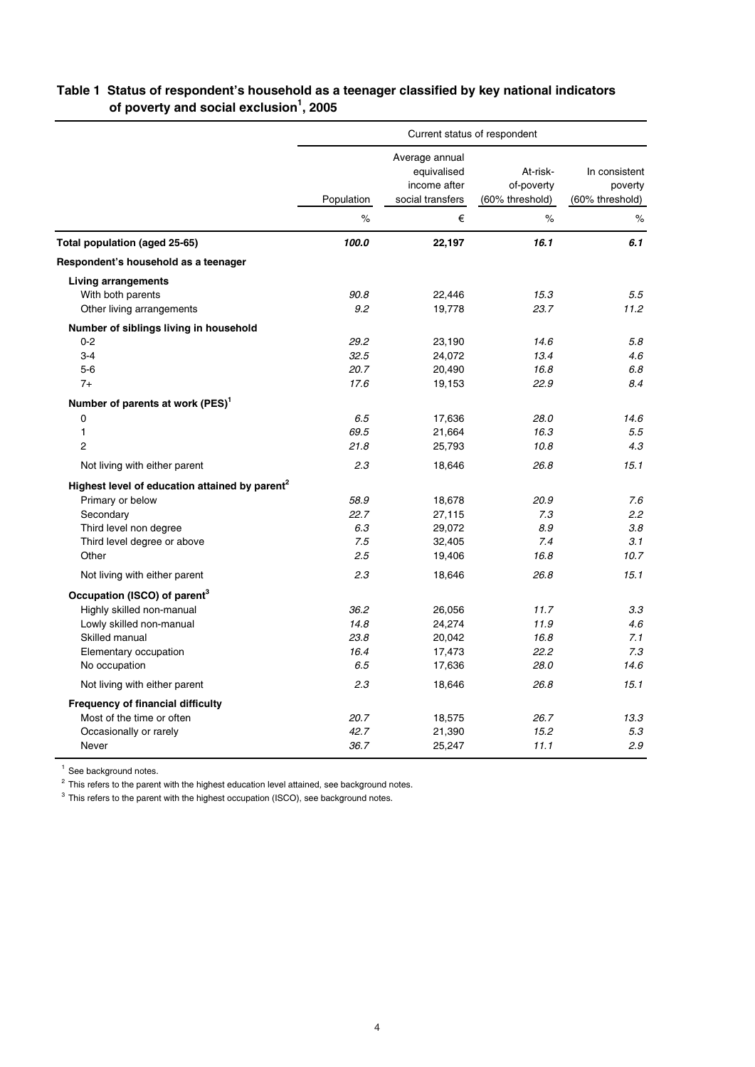|                                                            | Current status of respondent |                                                                   |                                           |                                             |  |
|------------------------------------------------------------|------------------------------|-------------------------------------------------------------------|-------------------------------------------|---------------------------------------------|--|
|                                                            | Population                   | Average annual<br>equivalised<br>income after<br>social transfers | At-risk-<br>of-poverty<br>(60% threshold) | In consistent<br>poverty<br>(60% threshold) |  |
|                                                            | $\%$                         | €                                                                 | $\%$                                      | $\%$                                        |  |
| Total population (aged 25-65)                              | 100.0                        | 22,197                                                            | 16.1                                      | 6.1                                         |  |
| Respondent's household as a teenager                       |                              |                                                                   |                                           |                                             |  |
| <b>Living arrangements</b>                                 |                              |                                                                   |                                           |                                             |  |
| With both parents                                          | 90.8                         | 22,446                                                            | 15.3                                      | 5.5                                         |  |
| Other living arrangements                                  | 9.2                          | 19,778                                                            | 23.7                                      | 11.2                                        |  |
| Number of siblings living in household                     |                              |                                                                   |                                           |                                             |  |
| $0 - 2$                                                    | 29.2                         | 23,190                                                            | 14.6                                      | 5.8                                         |  |
| $3-4$                                                      | 32.5                         | 24,072                                                            | 13.4                                      | 4.6                                         |  |
| $5-6$                                                      | 20.7                         | 20,490                                                            | 16.8                                      | 6.8                                         |  |
| $7+$                                                       | 17.6                         | 19,153                                                            | 22.9                                      | 8.4                                         |  |
| Number of parents at work (PES) <sup>1</sup>               |                              |                                                                   |                                           |                                             |  |
| $\mathbf 0$                                                | 6.5                          | 17,636                                                            | 28.0                                      | 14.6                                        |  |
| $\mathbf{1}$                                               | 69.5                         | 21,664                                                            | 16.3                                      | 5.5                                         |  |
| $\overline{2}$                                             | 21.8                         | 25,793                                                            | 10.8                                      | 4.3                                         |  |
| Not living with either parent                              | 2.3                          | 18,646                                                            | 26.8                                      | 15.1                                        |  |
| Highest level of education attained by parent <sup>2</sup> |                              |                                                                   |                                           |                                             |  |
| Primary or below                                           | 58.9                         | 18,678                                                            | 20.9                                      | 7.6                                         |  |
| Secondary                                                  | 22.7                         | 27,115                                                            | 7.3                                       | 2.2                                         |  |
| Third level non degree                                     | 6.3                          | 29,072                                                            | 8.9                                       | 3.8                                         |  |
| Third level degree or above                                | 7.5                          | 32,405                                                            | 7.4                                       | 3.1                                         |  |
| Other                                                      | 2.5                          | 19,406                                                            | 16.8                                      | 10.7                                        |  |
| Not living with either parent                              | 2.3                          | 18,646                                                            | 26.8                                      | 15.1                                        |  |
| Occupation (ISCO) of parent <sup>3</sup>                   |                              |                                                                   |                                           |                                             |  |
| Highly skilled non-manual                                  | 36.2                         | 26,056                                                            | 11.7                                      | 3.3                                         |  |
| Lowly skilled non-manual                                   | 14.8                         | 24,274                                                            | 11.9                                      | 4.6                                         |  |
| Skilled manual                                             | 23.8                         | 20,042                                                            | 16.8                                      | 7.1                                         |  |
| Elementary occupation                                      | 16.4                         | 17,473                                                            | 22.2                                      | 7.3                                         |  |
| No occupation                                              | 6.5                          | 17,636                                                            | 28.0                                      | 14.6                                        |  |
| Not living with either parent                              | 2.3                          | 18,646                                                            | 26.8                                      | 15.1                                        |  |
| <b>Frequency of financial difficulty</b>                   |                              |                                                                   |                                           |                                             |  |
| Most of the time or often                                  | 20.7                         | 18,575                                                            | 26.7                                      | 13.3                                        |  |
| Occasionally or rarely                                     | 42.7                         | 21,390                                                            | 15.2                                      | 5.3                                         |  |
| Never                                                      | 36.7                         | 25,247                                                            | 11.1                                      | 2.9                                         |  |

## **Table 1 Status of respondent's household as a teenager classified by key national indicators of poverty and social exclusion<sup>1</sup> , 2005**

<sup>1</sup> See background notes.

<sup>2</sup> This refers to the parent with the highest education level attained, see background notes.

<sup>3</sup> This refers to the parent with the highest occupation (ISCO), see background notes.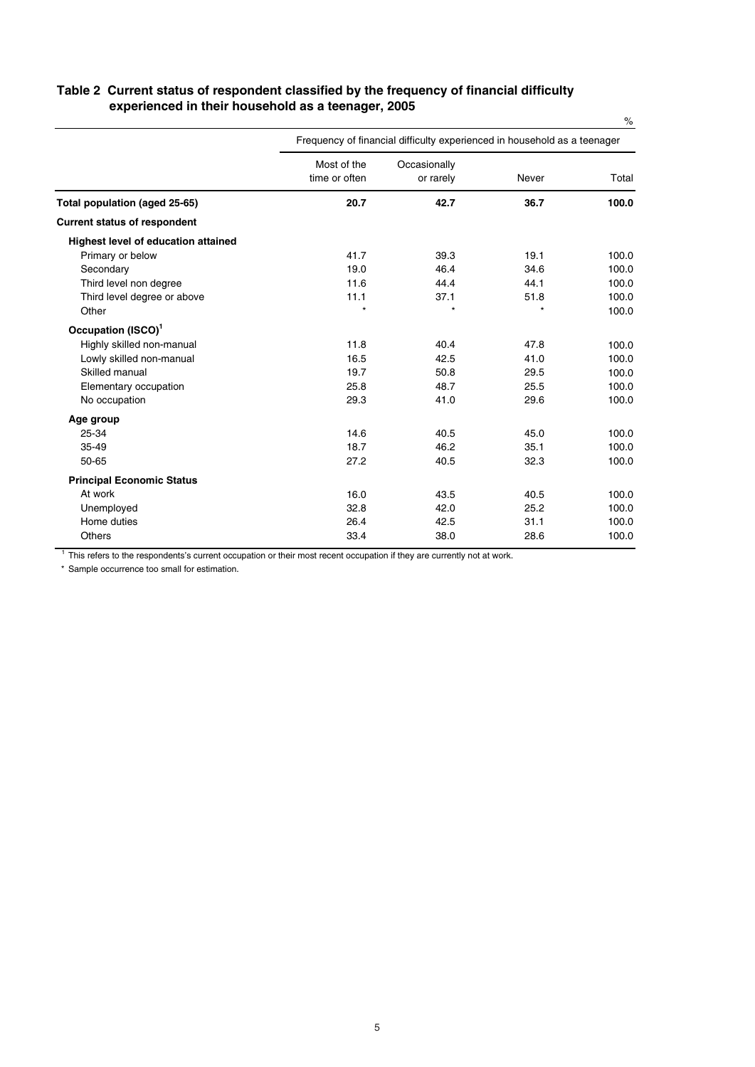### **Table 2 Current status of respondent classified by the frequency of financial difficulty experienced in their household as a teenager, 2005**

|                                     |                              | Frequency of financial difficulty experienced in household as a teenager |         |       |
|-------------------------------------|------------------------------|--------------------------------------------------------------------------|---------|-------|
|                                     | Most of the<br>time or often | Occasionally<br>or rarely                                                | Never   | Total |
| Total population (aged 25-65)       | 20.7                         | 42.7                                                                     | 36.7    | 100.0 |
| <b>Current status of respondent</b> |                              |                                                                          |         |       |
| Highest level of education attained |                              |                                                                          |         |       |
| Primary or below                    | 41.7                         | 39.3                                                                     | 19.1    | 100.0 |
| Secondary                           | 19.0                         | 46.4                                                                     | 34.6    | 100.0 |
| Third level non degree              | 11.6                         | 44.4                                                                     | 44.1    | 100.0 |
| Third level degree or above         | 11.1                         | 37.1                                                                     | 51.8    | 100.0 |
| Other                               | $\star$                      | $\star$                                                                  | $\star$ | 100.0 |
| Occupation (ISCO) <sup>1</sup>      |                              |                                                                          |         |       |
| Highly skilled non-manual           | 11.8                         | 40.4                                                                     | 47.8    | 100.0 |
| Lowly skilled non-manual            | 16.5                         | 42.5                                                                     | 41.0    | 100.0 |
| Skilled manual                      | 19.7                         | 50.8                                                                     | 29.5    | 100.0 |
| Elementary occupation               | 25.8                         | 48.7                                                                     | 25.5    | 100.0 |
| No occupation                       | 29.3                         | 41.0                                                                     | 29.6    | 100.0 |
| Age group                           |                              |                                                                          |         |       |
| 25-34                               | 14.6                         | 40.5                                                                     | 45.0    | 100.0 |
| 35-49                               | 18.7                         | 46.2                                                                     | 35.1    | 100.0 |
| 50-65                               | 27.2                         | 40.5                                                                     | 32.3    | 100.0 |
| <b>Principal Economic Status</b>    |                              |                                                                          |         |       |
| At work                             | 16.0                         | 43.5                                                                     | 40.5    | 100.0 |
| Unemployed                          | 32.8                         | 42.0                                                                     | 25.2    | 100.0 |
| Home duties                         | 26.4                         | 42.5                                                                     | 31.1    | 100.0 |
| <b>Others</b>                       | 33.4                         | 38.0                                                                     | 28.6    | 100.0 |

<sup>1</sup> This refers to the respondents's current occupation or their most recent occupation if they are currently not at work.

\* Sample occurrence too small for estimation.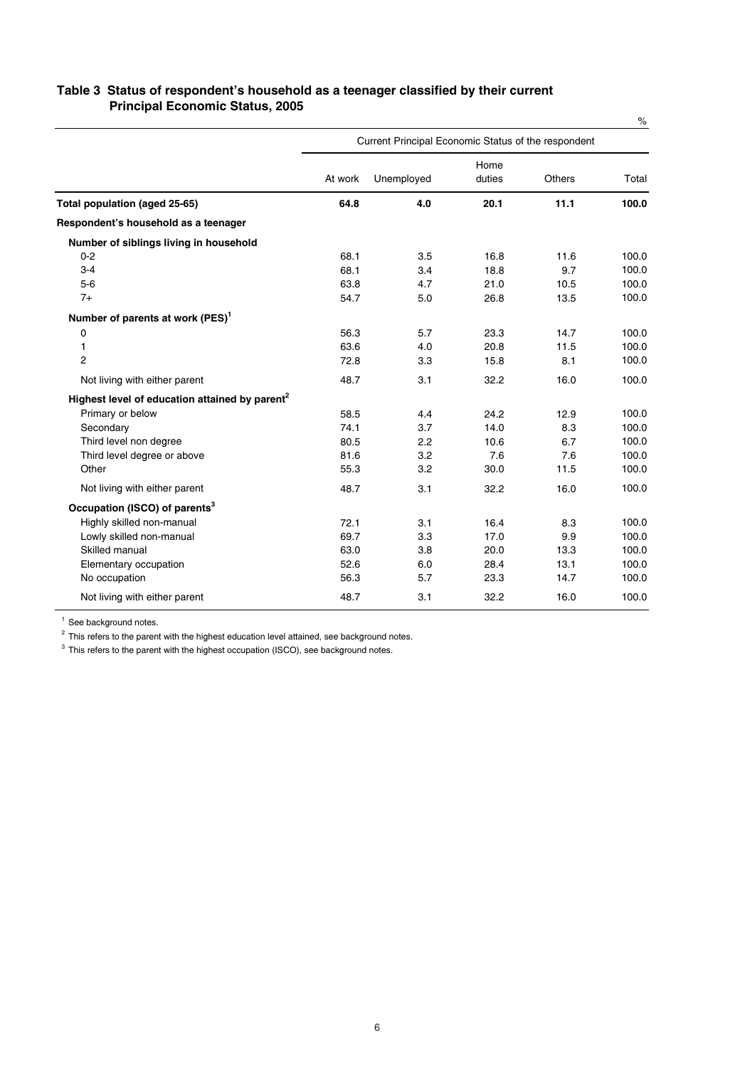| Table 3 Status of respondent's household as a teenager classified by their current |
|------------------------------------------------------------------------------------|
| <b>Principal Economic Status, 2005</b>                                             |

|                                                            |         |                                                     |                |               | $\%$  |
|------------------------------------------------------------|---------|-----------------------------------------------------|----------------|---------------|-------|
|                                                            |         | Current Principal Economic Status of the respondent |                |               |       |
|                                                            | At work | Unemployed                                          | Home<br>duties | <b>Others</b> | Total |
| Total population (aged 25-65)                              | 64.8    | 4.0                                                 | 20.1           | 11.1          | 100.0 |
| Respondent's household as a teenager                       |         |                                                     |                |               |       |
| Number of siblings living in household                     |         |                                                     |                |               |       |
| $0 - 2$                                                    | 68.1    | 3.5                                                 | 16.8           | 11.6          | 100.0 |
| $3 - 4$                                                    | 68.1    | 3.4                                                 | 18.8           | 9.7           | 100.0 |
| $5-6$                                                      | 63.8    | 4.7                                                 | 21.0           | 10.5          | 100.0 |
| $7+$                                                       | 54.7    | 5.0                                                 | 26.8           | 13.5          | 100.0 |
| Number of parents at work (PES) <sup>1</sup>               |         |                                                     |                |               |       |
| 0                                                          | 56.3    | 5.7                                                 | 23.3           | 14.7          | 100.0 |
| 1                                                          | 63.6    | 4.0                                                 | 20.8           | 11.5          | 100.0 |
| $\overline{c}$                                             | 72.8    | 3.3                                                 | 15.8           | 8.1           | 100.0 |
| Not living with either parent                              | 48.7    | 3.1                                                 | 32.2           | 16.0          | 100.0 |
| Highest level of education attained by parent <sup>2</sup> |         |                                                     |                |               |       |
| Primary or below                                           | 58.5    | 4.4                                                 | 24.2           | 12.9          | 100.0 |
| Secondary                                                  | 74.1    | 3.7                                                 | 14.0           | 8.3           | 100.0 |
| Third level non degree                                     | 80.5    | 2.2                                                 | 10.6           | 6.7           | 100.0 |
| Third level degree or above                                | 81.6    | 3.2                                                 | 7.6            | 7.6           | 100.0 |
| Other                                                      | 55.3    | 3.2                                                 | 30.0           | 11.5          | 100.0 |
| Not living with either parent                              | 48.7    | 3.1                                                 | 32.2           | 16.0          | 100.0 |
| Occupation (ISCO) of parents <sup>3</sup>                  |         |                                                     |                |               |       |
| Highly skilled non-manual                                  | 72.1    | 3.1                                                 | 16.4           | 8.3           | 100.0 |
| Lowly skilled non-manual                                   | 69.7    | 3.3                                                 | 17.0           | 9.9           | 100.0 |
| Skilled manual                                             | 63.0    | 3.8                                                 | 20.0           | 13.3          | 100.0 |
| Elementary occupation                                      | 52.6    | 6.0                                                 | 28.4           | 13.1          | 100.0 |
| No occupation                                              | 56.3    | 5.7                                                 | 23.3           | 14.7          | 100.0 |
| Not living with either parent                              | 48.7    | 3.1                                                 | 32.2           | 16.0          | 100.0 |

<sup>1</sup> See background notes.

 $2$  This refers to the parent with the highest education level attained, see background notes.

<sup>3</sup> This refers to the parent with the highest occupation (ISCO), see background notes.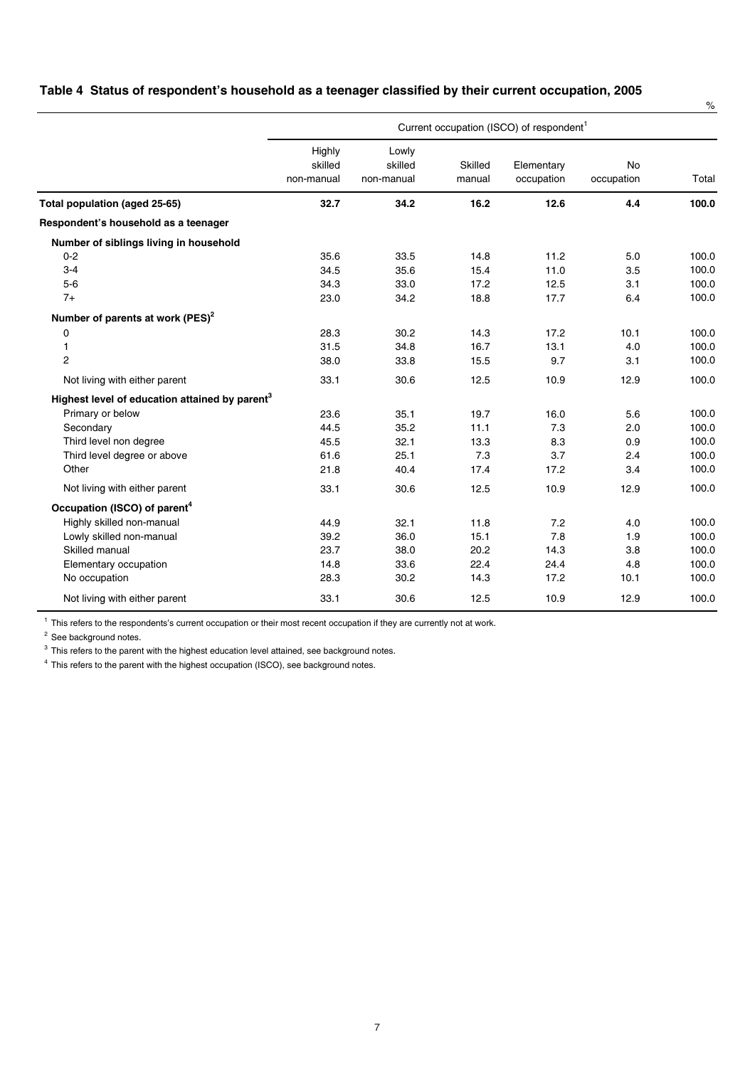#### **Table 4 Status of respondent's household as a teenager classified by their current occupation, 2005**

|                                                            |                                 |                                |                   |                                                      |                         | $\%$  |
|------------------------------------------------------------|---------------------------------|--------------------------------|-------------------|------------------------------------------------------|-------------------------|-------|
|                                                            |                                 |                                |                   | Current occupation (ISCO) of respondent <sup>1</sup> |                         |       |
|                                                            | Highly<br>skilled<br>non-manual | Lowly<br>skilled<br>non-manual | Skilled<br>manual | Elementary<br>occupation                             | <b>No</b><br>occupation | Total |
| Total population (aged 25-65)                              | 32.7                            | 34.2                           | 16.2              | 12.6                                                 | 4.4                     | 100.0 |
| Respondent's household as a teenager                       |                                 |                                |                   |                                                      |                         |       |
| Number of siblings living in household                     |                                 |                                |                   |                                                      |                         |       |
| $0 - 2$                                                    | 35.6                            | 33.5                           | 14.8              | 11.2                                                 | 5.0                     | 100.0 |
| $3 - 4$                                                    | 34.5                            | 35.6                           | 15.4              | 11.0                                                 | 3.5                     | 100.0 |
| $5-6$                                                      | 34.3                            | 33.0                           | 17.2              | 12.5                                                 | 3.1                     | 100.0 |
| $7+$                                                       | 23.0                            | 34.2                           | 18.8              | 17.7                                                 | 6.4                     | 100.0 |
| Number of parents at work (PES) <sup>2</sup>               |                                 |                                |                   |                                                      |                         |       |
| 0                                                          | 28.3                            | 30.2                           | 14.3              | 17.2                                                 | 10.1                    | 100.0 |
| 1                                                          | 31.5                            | 34.8                           | 16.7              | 13.1                                                 | 4.0                     | 100.0 |
| $\overline{2}$                                             | 38.0                            | 33.8                           | 15.5              | 9.7                                                  | 3.1                     | 100.0 |
| Not living with either parent                              | 33.1                            | 30.6                           | 12.5              | 10.9                                                 | 12.9                    | 100.0 |
| Highest level of education attained by parent <sup>3</sup> |                                 |                                |                   |                                                      |                         |       |
| Primary or below                                           | 23.6                            | 35.1                           | 19.7              | 16.0                                                 | 5.6                     | 100.0 |
| Secondary                                                  | 44.5                            | 35.2                           | 11.1              | 7.3                                                  | 2.0                     | 100.0 |
| Third level non degree                                     | 45.5                            | 32.1                           | 13.3              | 8.3                                                  | 0.9                     | 100.0 |
| Third level degree or above                                | 61.6                            | 25.1                           | 7.3               | 3.7                                                  | 2.4                     | 100.0 |
| Other                                                      | 21.8                            | 40.4                           | 17.4              | 17.2                                                 | 3.4                     | 100.0 |
| Not living with either parent                              | 33.1                            | 30.6                           | 12.5              | 10.9                                                 | 12.9                    | 100.0 |
| Occupation (ISCO) of parent <sup>4</sup>                   |                                 |                                |                   |                                                      |                         |       |
| Highly skilled non-manual                                  | 44.9                            | 32.1                           | 11.8              | 7.2                                                  | 4.0                     | 100.0 |
| Lowly skilled non-manual                                   | 39.2                            | 36.0                           | 15.1              | 7.8                                                  | 1.9                     | 100.0 |
| Skilled manual                                             | 23.7                            | 38.0                           | 20.2              | 14.3                                                 | 3.8                     | 100.0 |
| Elementary occupation                                      | 14.8                            | 33.6                           | 22.4              | 24.4                                                 | 4.8                     | 100.0 |
| No occupation                                              | 28.3                            | 30.2                           | 14.3              | 17.2                                                 | 10.1                    | 100.0 |
| Not living with either parent                              | 33.1                            | 30.6                           | 12.5              | 10.9                                                 | 12.9                    | 100.0 |

 $1$  This refers to the respondents's current occupation or their most recent occupation if they are currently not at work.

<sup>2</sup> See background notes.

<sup>3</sup> This refers to the parent with the highest education level attained, see background notes.

<sup>4</sup> This refers to the parent with the highest occupation (ISCO), see background notes.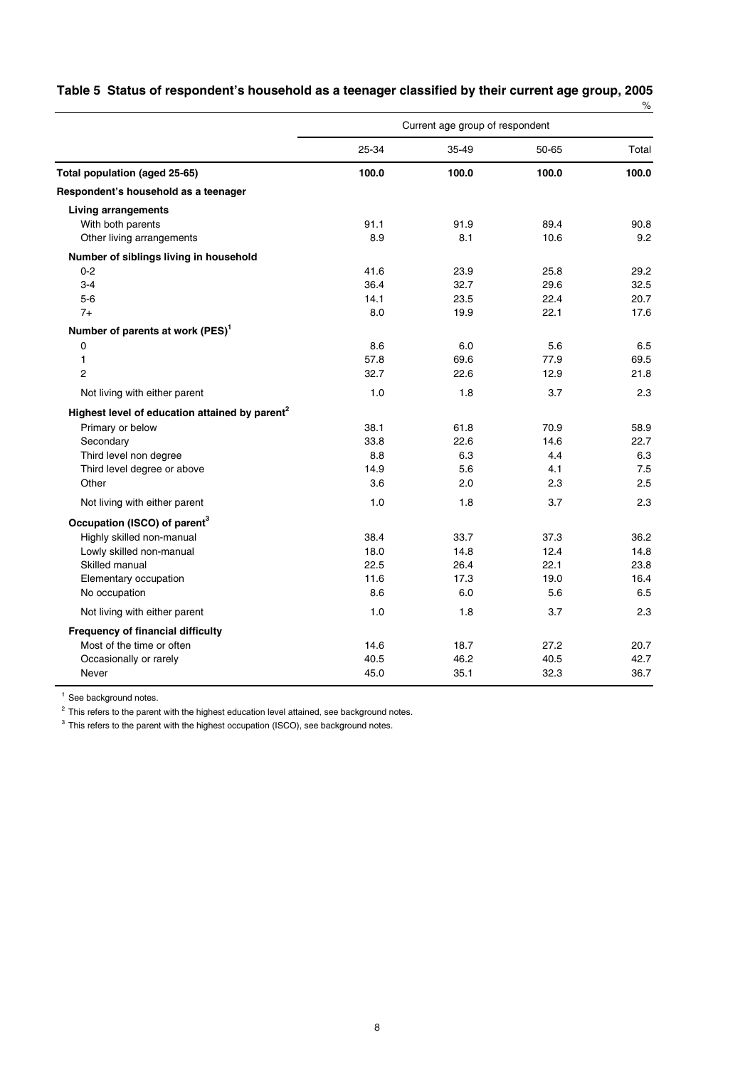|                                                            | Current age group of respondent |       |       |       |
|------------------------------------------------------------|---------------------------------|-------|-------|-------|
|                                                            | 25-34                           | 35-49 | 50-65 | Total |
| Total population (aged 25-65)                              | 100.0                           | 100.0 | 100.0 | 100.0 |
| Respondent's household as a teenager                       |                                 |       |       |       |
| <b>Living arrangements</b>                                 |                                 |       |       |       |
| With both parents                                          | 91.1                            | 91.9  | 89.4  | 90.8  |
| Other living arrangements                                  | 8.9                             | 8.1   | 10.6  | 9.2   |
| Number of siblings living in household                     |                                 |       |       |       |
| $0 - 2$                                                    | 41.6                            | 23.9  | 25.8  | 29.2  |
| $3-4$                                                      | 36.4                            | 32.7  | 29.6  | 32.5  |
| $5-6$                                                      | 14.1                            | 23.5  | 22.4  | 20.7  |
| $7+$                                                       | 8.0                             | 19.9  | 22.1  | 17.6  |
| Number of parents at work (PES) <sup>1</sup>               |                                 |       |       |       |
| 0                                                          | 8.6                             | 6.0   | 5.6   | 6.5   |
| 1                                                          | 57.8                            | 69.6  | 77.9  | 69.5  |
| $\overline{c}$                                             | 32.7                            | 22.6  | 12.9  | 21.8  |
| Not living with either parent                              | 1.0                             | 1.8   | 3.7   | 2.3   |
| Highest level of education attained by parent <sup>2</sup> |                                 |       |       |       |
| Primary or below                                           | 38.1                            | 61.8  | 70.9  | 58.9  |
| Secondary                                                  | 33.8                            | 22.6  | 14.6  | 22.7  |
| Third level non degree                                     | 8.8                             | 6.3   | 4.4   | 6.3   |
| Third level degree or above                                | 14.9                            | 5.6   | 4.1   | 7.5   |
| Other                                                      | 3.6                             | 2.0   | 2.3   | 2.5   |
| Not living with either parent                              | 1.0                             | 1.8   | 3.7   | 2.3   |
| Occupation (ISCO) of parent <sup>3</sup>                   |                                 |       |       |       |
| Highly skilled non-manual                                  | 38.4                            | 33.7  | 37.3  | 36.2  |
| Lowly skilled non-manual                                   | 18.0                            | 14.8  | 12.4  | 14.8  |
| Skilled manual                                             | 22.5                            | 26.4  | 22.1  | 23.8  |
| Elementary occupation                                      | 11.6                            | 17.3  | 19.0  | 16.4  |
| No occupation                                              | 8.6                             | 6.0   | 5.6   | 6.5   |
| Not living with either parent                              | 1.0                             | 1.8   | 3.7   | 2.3   |
| <b>Frequency of financial difficulty</b>                   |                                 |       |       |       |
| Most of the time or often                                  | 14.6                            | 18.7  | 27.2  | 20.7  |
| Occasionally or rarely                                     | 40.5                            | 46.2  | 40.5  | 42.7  |
| Never                                                      | 45.0                            | 35.1  | 32.3  | 36.7  |

| Table 5 Status of respondent's household as a teenager classified by their current age group, 2005 |  |
|----------------------------------------------------------------------------------------------------|--|
|                                                                                                    |  |

<sup>1</sup> See background notes.

 $2$  This refers to the parent with the highest education level attained, see background notes.

 $3$  This refers to the parent with the highest occupation (ISCO), see background notes.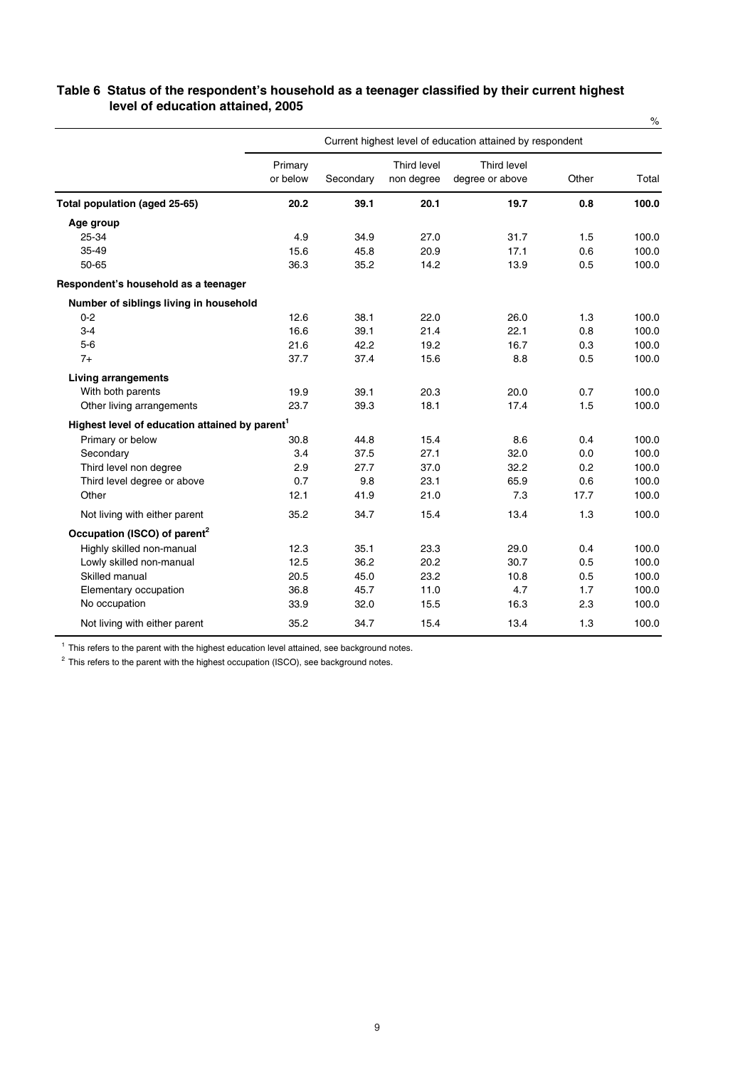|                                                            |                     |           |                           |                                                           |       | $\%$  |
|------------------------------------------------------------|---------------------|-----------|---------------------------|-----------------------------------------------------------|-------|-------|
|                                                            |                     |           |                           | Current highest level of education attained by respondent |       |       |
|                                                            | Primary<br>or below | Secondary | Third level<br>non degree | Third level<br>degree or above                            | Other | Total |
| Total population (aged 25-65)                              | 20.2                | 39.1      | 20.1                      | 19.7                                                      | 0.8   | 100.0 |
| Age group                                                  |                     |           |                           |                                                           |       |       |
| 25-34                                                      | 4.9                 | 34.9      | 27.0                      | 31.7                                                      | 1.5   | 100.0 |
| 35-49                                                      | 15.6                | 45.8      | 20.9                      | 17.1                                                      | 0.6   | 100.0 |
| 50-65                                                      | 36.3                | 35.2      | 14.2                      | 13.9                                                      | 0.5   | 100.0 |
| Respondent's household as a teenager                       |                     |           |                           |                                                           |       |       |
| Number of siblings living in household                     |                     |           |                           |                                                           |       |       |
| $0 - 2$                                                    | 12.6                | 38.1      | 22.0                      | 26.0                                                      | 1.3   | 100.0 |
| $3 - 4$                                                    | 16.6                | 39.1      | 21.4                      | 22.1                                                      | 0.8   | 100.0 |
| $5-6$                                                      | 21.6                | 42.2      | 19.2                      | 16.7                                                      | 0.3   | 100.0 |
| $7+$                                                       | 37.7                | 37.4      | 15.6                      | 8.8                                                       | 0.5   | 100.0 |
| <b>Living arrangements</b>                                 |                     |           |                           |                                                           |       |       |
| With both parents                                          | 19.9                | 39.1      | 20.3                      | 20.0                                                      | 0.7   | 100.0 |
| Other living arrangements                                  | 23.7                | 39.3      | 18.1                      | 17.4                                                      | 1.5   | 100.0 |
| Highest level of education attained by parent <sup>1</sup> |                     |           |                           |                                                           |       |       |
| Primary or below                                           | 30.8                | 44.8      | 15.4                      | 8.6                                                       | 0.4   | 100.0 |
| Secondary                                                  | 3.4                 | 37.5      | 27.1                      | 32.0                                                      | 0.0   | 100.0 |
| Third level non degree                                     | 2.9                 | 27.7      | 37.0                      | 32.2                                                      | 0.2   | 100.0 |
| Third level degree or above                                | 0.7                 | 9.8       | 23.1                      | 65.9                                                      | 0.6   | 100.0 |
| Other                                                      | 12.1                | 41.9      | 21.0                      | 7.3                                                       | 17.7  | 100.0 |
| Not living with either parent                              | 35.2                | 34.7      | 15.4                      | 13.4                                                      | 1.3   | 100.0 |
| Occupation (ISCO) of parent <sup>2</sup>                   |                     |           |                           |                                                           |       |       |
| Highly skilled non-manual                                  | 12.3                | 35.1      | 23.3                      | 29.0                                                      | 0.4   | 100.0 |
| Lowly skilled non-manual                                   | 12.5                | 36.2      | 20.2                      | 30.7                                                      | 0.5   | 100.0 |
| Skilled manual                                             | 20.5                | 45.0      | 23.2                      | 10.8                                                      | 0.5   | 100.0 |
| Elementary occupation                                      | 36.8                | 45.7      | 11.0                      | 4.7                                                       | 1.7   | 100.0 |
| No occupation                                              | 33.9                | 32.0      | 15.5                      | 16.3                                                      | 2.3   | 100.0 |
| Not living with either parent                              | 35.2                | 34.7      | 15.4                      | 13.4                                                      | 1.3   | 100.0 |

#### **Table 6 Status of the respondent's household as a teenager classified by their current highest level of education attained, 2005**

 $1$  This refers to the parent with the highest education level attained, see background notes.

 $2$  This refers to the parent with the highest occupation (ISCO), see background notes.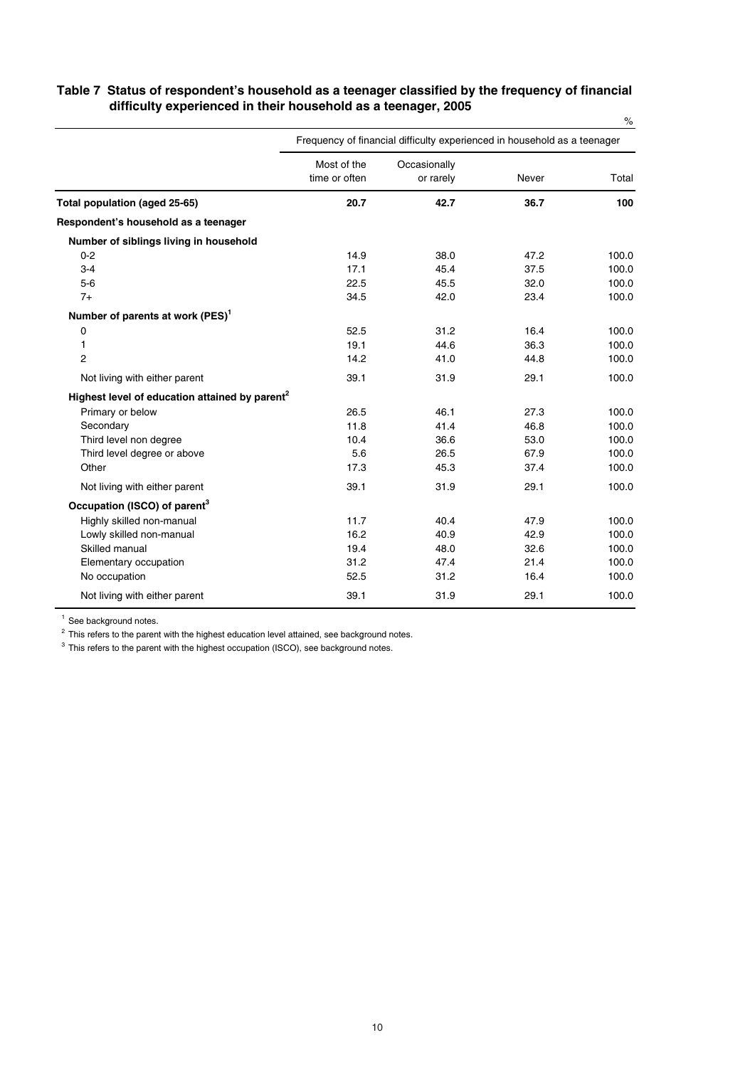|                                                            | Frequency of financial difficulty experienced in household as a teenager |                           |       |       |
|------------------------------------------------------------|--------------------------------------------------------------------------|---------------------------|-------|-------|
|                                                            | Most of the<br>time or often                                             | Occasionally<br>or rarely | Never | Total |
| Total population (aged 25-65)                              | 20.7                                                                     | 42.7                      | 36.7  | 100   |
| Respondent's household as a teenager                       |                                                                          |                           |       |       |
| Number of siblings living in household                     |                                                                          |                           |       |       |
| $0 - 2$                                                    | 14.9                                                                     | 38.0                      | 47.2  | 100.0 |
| $3 - 4$                                                    | 17.1                                                                     | 45.4                      | 37.5  | 100.0 |
| $5-6$                                                      | 22.5                                                                     | 45.5                      | 32.0  | 100.0 |
| $7+$                                                       | 34.5                                                                     | 42.0                      | 23.4  | 100.0 |
| Number of parents at work (PES) <sup>1</sup>               |                                                                          |                           |       |       |
| 0                                                          | 52.5                                                                     | 31.2                      | 16.4  | 100.0 |
| 1                                                          | 19.1                                                                     | 44.6                      | 36.3  | 100.0 |
| $\overline{2}$                                             | 14.2                                                                     | 41.0                      | 44.8  | 100.0 |
| Not living with either parent                              | 39.1                                                                     | 31.9                      | 29.1  | 100.0 |
| Highest level of education attained by parent <sup>2</sup> |                                                                          |                           |       |       |
| Primary or below                                           | 26.5                                                                     | 46.1                      | 27.3  | 100.0 |
| Secondary                                                  | 11.8                                                                     | 41.4                      | 46.8  | 100.0 |
| Third level non degree                                     | 10.4                                                                     | 36.6                      | 53.0  | 100.0 |
| Third level degree or above                                | 5.6                                                                      | 26.5                      | 67.9  | 100.0 |
| Other                                                      | 17.3                                                                     | 45.3                      | 37.4  | 100.0 |
| Not living with either parent                              | 39.1                                                                     | 31.9                      | 29.1  | 100.0 |
| Occupation (ISCO) of parent <sup>3</sup>                   |                                                                          |                           |       |       |
| Highly skilled non-manual                                  | 11.7                                                                     | 40.4                      | 47.9  | 100.0 |
| Lowly skilled non-manual                                   | 16.2                                                                     | 40.9                      | 42.9  | 100.0 |
| Skilled manual                                             | 19.4                                                                     | 48.0                      | 32.6  | 100.0 |
| Elementary occupation                                      | 31.2                                                                     | 47.4                      | 21.4  | 100.0 |
| No occupation                                              | 52.5                                                                     | 31.2                      | 16.4  | 100.0 |
| Not living with either parent                              | 39.1                                                                     | 31.9                      | 29.1  | 100.0 |

#### **Table 7 Status of respondent's household as a teenager classified by the frequency of financial difficulty experienced in their household as a teenager, 2005**  $\frac{1}{2}$

<sup>1</sup> See background notes.

<sup>2</sup> This refers to the parent with the highest education level attained, see background notes.

<sup>3</sup> This refers to the parent with the highest occupation (ISCO), see background notes.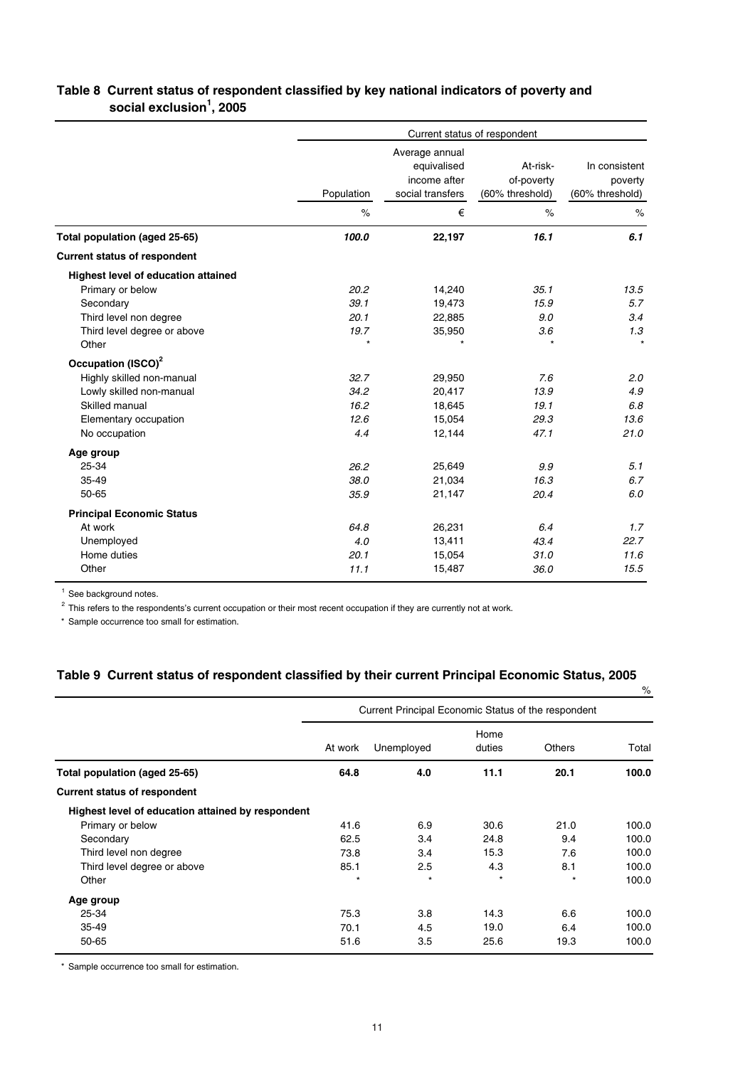#### **Table 8 Current status of respondent classified by key national indicators of poverty and social exclusion<sup>1</sup> , 2005**

|                                            | Current status of respondent |                                                                   |                                           |                                             |  |  |
|--------------------------------------------|------------------------------|-------------------------------------------------------------------|-------------------------------------------|---------------------------------------------|--|--|
|                                            | Population                   | Average annual<br>equivalised<br>income after<br>social transfers | At-risk-<br>of-poverty<br>(60% threshold) | In consistent<br>poverty<br>(60% threshold) |  |  |
|                                            | $\%$                         | €                                                                 | $\%$                                      | $\%$                                        |  |  |
| Total population (aged 25-65)              | 100.0                        | 22,197                                                            | 16.1                                      | 6.1                                         |  |  |
| <b>Current status of respondent</b>        |                              |                                                                   |                                           |                                             |  |  |
| <b>Highest level of education attained</b> |                              |                                                                   |                                           |                                             |  |  |
| Primary or below                           | 20.2                         | 14,240                                                            | 35.1                                      | 13.5                                        |  |  |
| Secondary                                  | 39.1                         | 19,473                                                            | 15.9                                      | 5.7                                         |  |  |
| Third level non degree                     | 20.1                         | 22,885                                                            | 9.0                                       | 3.4                                         |  |  |
| Third level degree or above                | 19.7                         | 35,950                                                            | 3.6                                       | 1.3                                         |  |  |
| Other                                      | $\star$                      | $\star$                                                           | $\star$                                   | $\star$                                     |  |  |
| Occupation (ISCO) <sup>2</sup>             |                              |                                                                   |                                           |                                             |  |  |
| Highly skilled non-manual                  | 32.7                         | 29,950                                                            | 7.6                                       | 2.0                                         |  |  |
| Lowly skilled non-manual                   | 34.2                         | 20,417                                                            | 13.9                                      | 4.9                                         |  |  |
| Skilled manual                             | 16.2                         | 18,645                                                            | 19.1                                      | 6.8                                         |  |  |
| Elementary occupation                      | 12.6                         | 15,054                                                            | 29.3                                      | 13.6                                        |  |  |
| No occupation                              | 4.4                          | 12,144                                                            | 47.1                                      | 21.0                                        |  |  |
| Age group                                  |                              |                                                                   |                                           |                                             |  |  |
| 25-34                                      | 26.2                         | 25,649                                                            | 9.9                                       | 5.1                                         |  |  |
| 35-49                                      | 38.0                         | 21,034                                                            | 16.3                                      | 6.7                                         |  |  |
| 50-65                                      | 35.9                         | 21,147                                                            | 20.4                                      | 6.0                                         |  |  |
| <b>Principal Economic Status</b>           |                              |                                                                   |                                           |                                             |  |  |
| At work                                    | 64.8                         | 26,231                                                            | 6.4                                       | 1.7                                         |  |  |
| Unemployed                                 | 4.0                          | 13,411                                                            | 43.4                                      | 22.7                                        |  |  |
| Home duties                                | 20.1                         | 15,054                                                            | 31.0                                      | 11.6                                        |  |  |
| Other                                      | 11.1                         | 15,487                                                            | 36.0                                      | 15.5                                        |  |  |

 $1$  See background notes.

<sup>2</sup> This refers to the respondents's current occupation or their most recent occupation if they are currently not at work.

\* Sample occurrence too small for estimation.

## **Table 9 Current status of respondent classified by their current Principal Economic Status, 2005**

|                                                   |                                                     |            |                |               | %     |
|---------------------------------------------------|-----------------------------------------------------|------------|----------------|---------------|-------|
|                                                   | Current Principal Economic Status of the respondent |            |                |               |       |
|                                                   | At work                                             | Unemployed | Home<br>duties | <b>Others</b> | Total |
| Total population (aged 25-65)                     | 64.8                                                | 4.0        | 11.1           | 20.1          | 100.0 |
| <b>Current status of respondent</b>               |                                                     |            |                |               |       |
| Highest level of education attained by respondent |                                                     |            |                |               |       |
| Primary or below                                  | 41.6                                                | 6.9        | 30.6           | 21.0          | 100.0 |
| Secondary                                         | 62.5                                                | 3.4        | 24.8           | 9.4           | 100.0 |
| Third level non degree                            | 73.8                                                | 3.4        | 15.3           | 7.6           | 100.0 |
| Third level degree or above                       | 85.1                                                | 2.5        | 4.3            | 8.1           | 100.0 |
| Other                                             | $\star$                                             | $\star$    | $\star$        | $\star$       | 100.0 |
| Age group                                         |                                                     |            |                |               |       |
| 25-34                                             | 75.3                                                | 3.8        | 14.3           | 6.6           | 100.0 |
| 35-49                                             | 70.1                                                | 4.5        | 19.0           | 6.4           | 100.0 |
| 50-65                                             | 51.6                                                | 3.5        | 25.6           | 19.3          | 100.0 |

\* Sample occurrence too small for estimation.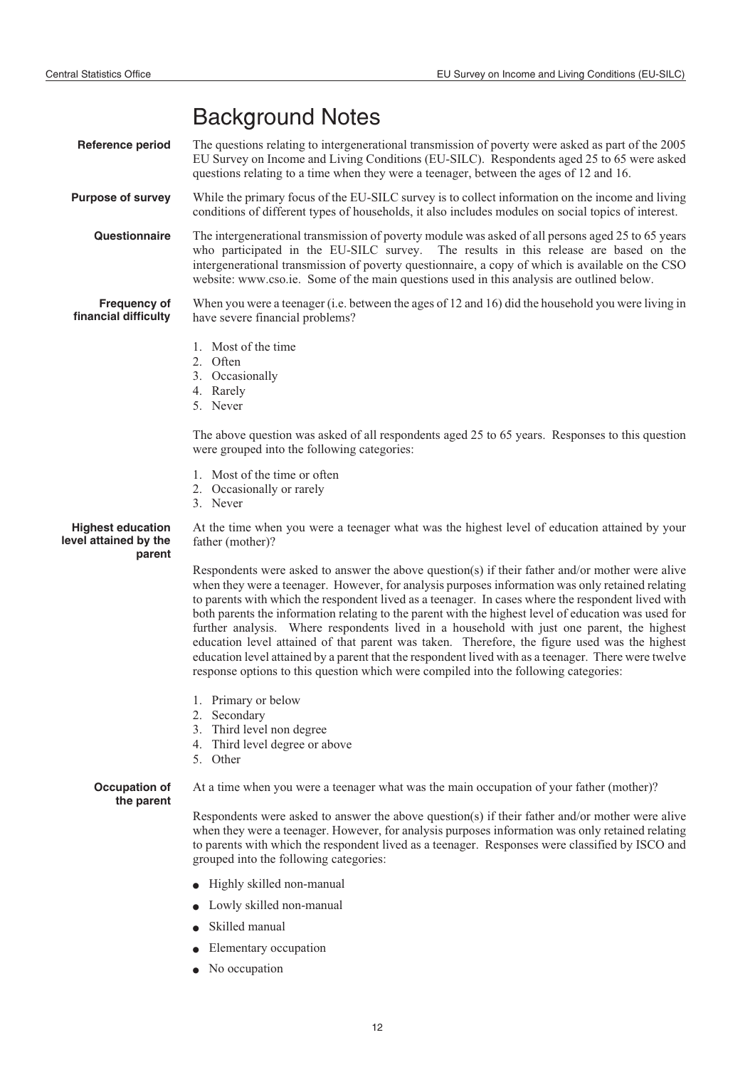# Background Notes

**Reference period** The questions relating to intergenerational transmission of poverty were asked as part of the 2005 EU Survey on Income and Living Conditions (EU-SILC). Respondents aged 25 to 65 were asked questions relating to a time when they were a teenager, between the ages of 12 and 16. **Purpose of survey** While the primary focus of the EU-SILC survey is to collect information on the income and living conditions of different types of households, it also includes modules on social topics of interest. **Questionnaire** The intergenerational transmission of poverty module was asked of all persons aged 25 to 65 years who participated in the EU-SILC survey. The results in this release are based on the intergenerational transmission of poverty questionnaire, a copy of which is available on the CSO website: www.cso.ie. Some of the main questions used in this analysis are outlined below. **Frequency of financial difficulty** When you were a teenager (i.e. between the ages of 12 and 16) did the household you were living in have severe financial problems? 1. Most of the time 2. Often 3. Occasionally 4. Rarely 5. Never The above question was asked of all respondents aged 25 to 65 years. Responses to this question were grouped into the following categories: 1. Most of the time or often 2. Occasionally or rarely 3. Never **Highest education level attained by the parent** At the time when you were a teenager what was the highest level of education attained by your father (mother)? Respondents were asked to answer the above question(s) if their father and/or mother were alive when they were a teenager. However, for analysis purposes information was only retained relating to parents with which the respondent lived as a teenager. In cases where the respondent lived with both parents the information relating to the parent with the highest level of education was used for further analysis. Where respondents lived in a household with just one parent, the highest education level attained of that parent was taken. Therefore, the figure used was the highest education level attained by a parent that the respondent lived with as a teenager. There were twelve response options to this question which were compiled into the following categories: 1. Primary or below 2. Secondary 3. Third level non degree 4. Third level degree or above 5. Other **Occupation of the parent** At a time when you were a teenager what was the main occupation of your father (mother)? Respondents were asked to answer the above question(s) if their father and/or mother were alive when they were a teenager. However, for analysis purposes information was only retained relating to parents with which the respondent lived as a teenager. Responses were classified by ISCO and grouped into the following categories:  $\bullet$  Highly skilled non-manual  $\bullet$  Lowly skilled non-manual  $\bullet$  Skilled manual  $\bullet$ Elementary occupation

> $\bullet$ No occupation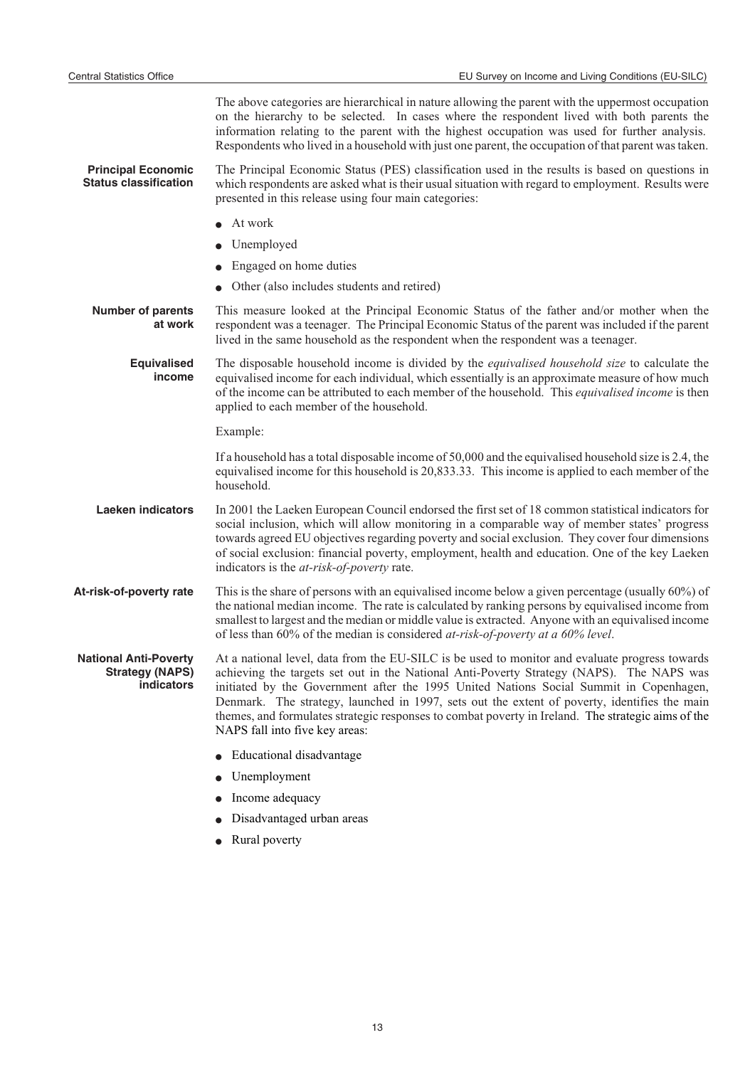The above categories are hierarchical in nature allowing the parent with the uppermost occupation on the hierarchy to be selected. In cases where the respondent lived with both parents the information relating to the parent with the highest occupation was used for further analysis. Respondents who lived in a household with just one parent, the occupation of that parent was taken.

**Principal Economic Status classification** The Principal Economic Status (PES) classification used in the results is based on questions in which respondents are asked what is their usual situation with regard to employment. Results were presented in this release using four main categories:

- $\bullet$ At work
- $\bullet$ Unemployed
- $\bullet$ Engaged on home duties
- $\bullet$ Other (also includes students and retired)

**Number of parents at work** This measure looked at the Principal Economic Status of the father and/or mother when the respondent was a teenager. The Principal Economic Status of the parent was included if the parent lived in the same household as the respondent when the respondent was a teenager.

**Equivalised income** The disposable household income is divided by the *equivalised household size* to calculate the equivalised income for each individual, which essentially is an approximate measure of how much of the income can be attributed to each member of the household. This *equivalised income* is then applied to each member of the household.

Example:

If a household has a total disposable income of 50,000 and the equivalised household size is 2.4, the equivalised income for this household is 20,833.33. This income is applied to each member of the household.

Laeken indicators In 2001 the Laeken European Council endorsed the first set of 18 common statistical indicators for social inclusion, which will allow monitoring in a comparable way of member states' progress towards agreed EU objectives regarding poverty and social exclusion. They cover four dimensions of social exclusion: financial poverty, employment, health and education. One of the key Laeken indicators is the *at-risk-of-poverty* rate.

**At-risk-of-poverty rate** This is the share of persons with an equivalised income below a given percentage (usually 60%) of the national median income. The rate is calculated by ranking persons by equivalised income from smallest to largest and the median or middle value is extracted. Anyone with an equivalised income of less than 60% of the median is considered *at-risk-of-poverty at a 60% level*.

**National Anti-Poverty Strategy (NAPS) indicators** At a national level, data from the EU-SILC is be used to monitor and evaluate progress towards achieving the targets set out in the National Anti-Poverty Strategy (NAPS). The NAPS was initiated by the Government after the 1995 United Nations Social Summit in Copenhagen, Denmark. The strategy, launched in 1997, sets out the extent of poverty, identifies the main themes, and formulates strategic responses to combat poverty in Ireland. The strategic aims of the NAPS fall into five key areas:

- $\bullet$ Educational disadvantage
- $\blacksquare$ Unemployment
- $\bullet$ Income adequacy
- -Disadvantaged urban areas
- $\bullet$ Rural poverty